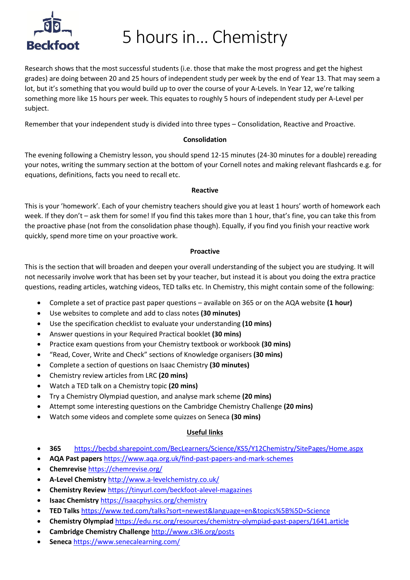

5 hours in… Chemistry

Research shows that the most successful students (i.e. those that make the most progress and get the highest grades) are doing between 20 and 25 hours of independent study per week by the end of Year 13. That may seem a lot, but it's something that you would build up to over the course of your A-Levels. In Year 12, we're talking something more like 15 hours per week. This equates to roughly 5 hours of independent study per A-Level per subject.

Remember that your independent study is divided into three types – Consolidation, Reactive and Proactive.

### **Consolidation**

The evening following a Chemistry lesson, you should spend 12-15 minutes (24-30 minutes for a double) rereading your notes, writing the summary section at the bottom of your Cornell notes and making relevant flashcards e.g. for equations, definitions, facts you need to recall etc.

### **Reactive**

This is your 'homework'. Each of your chemistry teachers should give you at least 1 hours' worth of homework each week. If they don't – ask them for some! If you find this takes more than 1 hour, that's fine, you can take this from the proactive phase (not from the consolidation phase though). Equally, if you find you finish your reactive work quickly, spend more time on your proactive work.

### **Proactive**

This is the section that will broaden and deepen your overall understanding of the subject you are studying. It will not necessarily involve work that has been set by your teacher, but instead it is about you doing the extra practice questions, reading articles, watching videos, TED talks etc. In Chemistry, this might contain some of the following:

- Complete a set of practice past paper questions available on 365 or on the AQA website **(1 hour)**
- Use websites to complete and add to class notes **(30 minutes)**
- Use the specification checklist to evaluate your understanding **(10 mins)**
- Answer questions in your Required Practical booklet **(30 mins)**
- Practice exam questions from your Chemistry textbook or workbook **(30 mins)**
- "Read, Cover, Write and Check" sections of Knowledge organisers **(30 mins)**
- Complete a section of questions on Isaac Chemistry **(30 minutes)**
- Chemistry review articles from LRC **(20 mins)**
- Watch a TED talk on a Chemistry topic **(20 mins)**
- Try a Chemistry Olympiad question, and analyse mark scheme **(20 mins)**
- Attempt some interesting questions on the Cambridge Chemistry Challenge **(20 mins)**
- Watch some videos and complete some quizzes on Seneca **(30 mins)**

### **Useful links**

- **365** <https://becbd.sharepoint.com/BecLearners/Science/KS5/Y12Chemistry/SitePages/Home.aspx>
- **AQA Past papers** <https://www.aqa.org.uk/find-past-papers-and-mark-schemes>
- **Chemrevise** <https://chemrevise.org/>
- **A-Level Chemistry** <http://www.a-levelchemistry.co.uk/>
- **Chemistry Review** <https://tinyurl.com/beckfoot-alevel-magazines>
- **Isaac Chemistry** <https://isaacphysics.org/chemistry>
- **TED Talks** <https://www.ted.com/talks?sort=newest&language=en&topics%5B%5D=Science>
- **Chemistry Olympiad** <https://edu.rsc.org/resources/chemistry-olympiad-past-papers/1641.article>
- **Cambridge Chemistry Challenge** <http://www.c3l6.org/posts>
- **Seneca** <https://www.senecalearning.com/>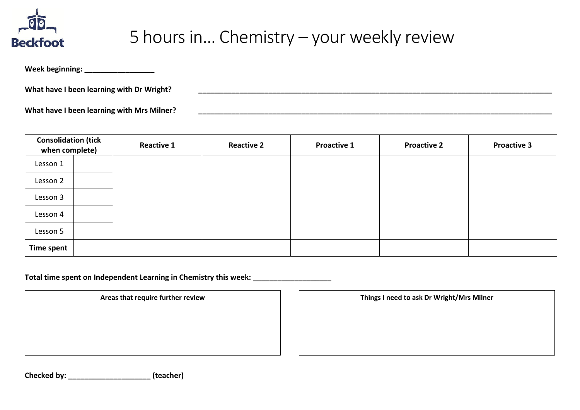

### 5 hours in… Chemistry – your weekly review

**Week beginning: \_\_\_\_\_\_\_\_\_\_\_\_\_\_\_\_\_**

**What have I been learning with Dr Wright? \_\_\_\_\_\_\_\_\_\_\_\_\_\_\_\_\_\_\_\_\_\_\_\_\_\_\_\_\_\_\_\_\_\_\_\_\_\_\_\_\_\_\_\_\_\_\_\_\_\_\_\_\_\_\_\_\_\_\_\_\_\_\_\_\_\_\_\_\_\_\_\_\_\_\_\_\_\_\_\_\_\_\_\_\_\_**

**What have I been learning with Mrs Milner? \_\_\_\_\_\_\_\_\_\_\_\_\_\_\_\_\_\_\_\_\_\_\_\_\_\_\_\_\_\_\_\_\_\_\_\_\_\_\_\_\_\_\_\_\_\_\_\_\_\_\_\_\_\_\_\_\_\_\_\_\_\_\_\_\_\_\_\_\_\_\_\_\_\_\_\_\_\_\_\_\_\_\_\_\_\_**

| <b>Consolidation (tick</b><br>when complete) |  | <b>Reactive 1</b> | <b>Reactive 2</b> | <b>Proactive 1</b> | <b>Proactive 2</b> | <b>Proactive 3</b> |
|----------------------------------------------|--|-------------------|-------------------|--------------------|--------------------|--------------------|
| Lesson 1                                     |  |                   |                   |                    |                    |                    |
| Lesson 2                                     |  |                   |                   |                    |                    |                    |
| Lesson 3                                     |  |                   |                   |                    |                    |                    |
| Lesson 4                                     |  |                   |                   |                    |                    |                    |
| Lesson 5                                     |  |                   |                   |                    |                    |                    |
| Time spent                                   |  |                   |                   |                    |                    |                    |

Total time spent on Independent Learning in Chemistry this week:

**Areas that require further review Things I need to ask Dr Wright/Mrs Milner**

**Checked by: \_\_\_\_\_\_\_\_\_\_\_\_\_\_\_\_\_\_\_\_ (teacher)**